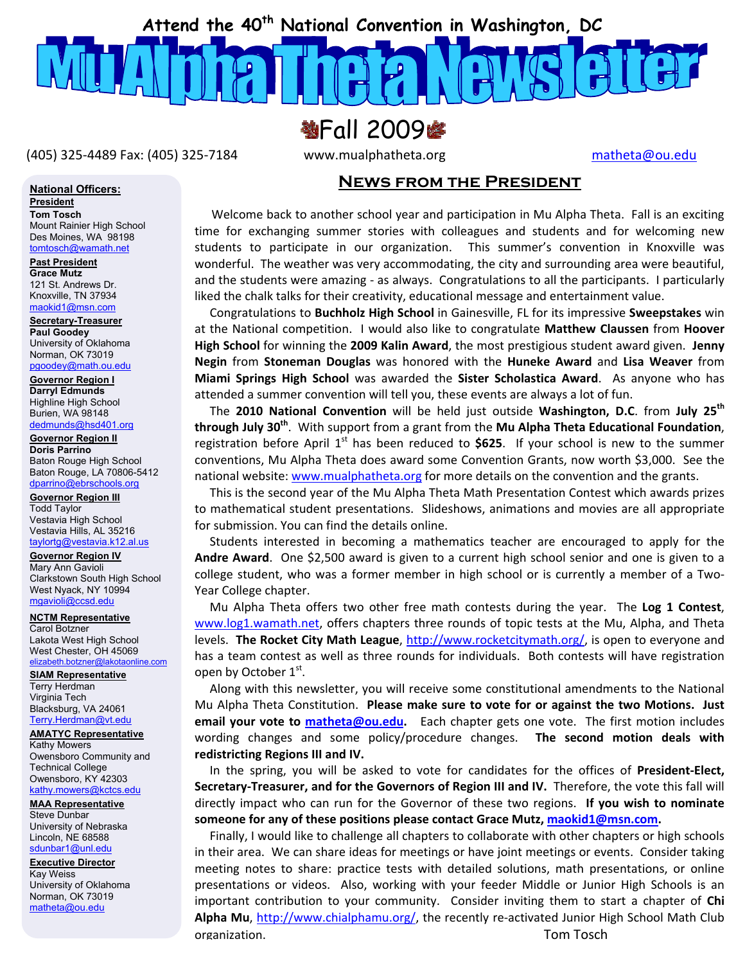

**翌Fall 2009字** 

(405) 325‐4489 Fax: (405) 325‐7184 www.mualphatheta.org matheta@ou.edu

#### **News from the President**

 Welcome back to another school year and participation in Mu Alpha Theta. Fall is an exciting time for exchanging summer stories with colleagues and students and for welcoming new students to participate in our organization. This summer's convention in Knoxville was wonderful. The weather was very accommodating, the city and surrounding area were beautiful, and the students were amazing - as always. Congratulations to all the participants. I particularly liked the chalk talks for their creativity, educational message and entertainment value.

 Congratulations to **Buchholz High School** in Gainesville, FL for its impressive **Sweepstakes** win at the National competition. I would also like to congratulate **Matthew Claussen** from **Hoover High School** for winning the **2009 Kalin Award**, the most prestigious student award given. **Jenny Negin** from **Stoneman Douglas** was honored with the **Huneke Award** and **Lisa Weaver** from **Miami Springs High School** was awarded the **Sister Scholastica Award**. As anyone who has attended a summer convention will tell you, these events are always a lot of fun.

 The **2010 National Convention** will be held just outside **Washington, D.C**. from **July 25th through July 30th**. With support from a grant from the **Mu Alpha Theta Educational Foundation**, registration before April 1<sup>st</sup> has been reduced to \$625. If your school is new to the summer conventions, Mu Alpha Theta does award some Convention Grants, now worth \$3,000. See the national website: www.mualphatheta.org for more details on the convention and the grants.

 This is the second year of the Mu Alpha Theta Math Presentation Contest which awards prizes to mathematical student presentations. Slideshows, animations and movies are all appropriate for submission. You can find the details online.

 Students interested in becoming a mathematics teacher are encouraged to apply for the **Andre Award**. One \$2,500 award is given to a current high school senior and one is given to a college student, who was a former member in high school or is currently a member of a Two-Year College chapter.

 Mu Alpha Theta offers two other free math contests during the year. The **Log 1 Contest**, www.log1.wamath.net, offers chapters three rounds of topic tests at the Mu, Alpha, and Theta levels. **The Rocket City Math League**, http://www.rocketcitymath.org/, is open to everyone and has a team contest as well as three rounds for individuals. Both contests will have registration open by October  $1<sup>st</sup>$ .

 Along with this newsletter, you will receive some constitutional amendments to the National Mu Alpha Theta Constitution. **Please make sure to vote for or against the two Motions. Just email your vote to matheta@ou.edu.** Each chapter gets one vote. The first motion includes wording changes and some policy/procedure changes. **The second motion deals with redistricting Regions III and IV.** 

 In the spring, you will be asked to vote for candidates for the offices of **President‐Elect, Secretary‐Treasurer, and for the Governors of Region III and IV.** Therefore, the vote this fall will directly impact who can run for the Governor of these two regions. **If you wish to nominate someone for any of these positions please contact Grace Mutz, maokid1@msn.com.**

Alpha Mu, http://www.chialphamu.org/, the recently re-activated Junior High School Math Club Finally, I would like to challenge all chapters to collaborate with other chapters or high schools in their area. We can share ideas for meetings or have joint meetings or events. Consider taking meeting notes to share: practice tests with detailed solutions, math presentations, or online presentations or videos. Also, working with your feeder Middle or Junior High Schools is an important contribution to your community. Consider inviting them to start a chapter of **Chi**  organization. Tom Tosch

**National Officers:**

#### **President**

**Tom Tosch**  Mount Rainier High School Des Moines, WA 98198 tomtosch@wamath.net

**Past President Grace Mutz**  121 St. Andrews Dr. Knoxville, TN 37934

maokid1@msn.com **Secretary-Treasurer Paul Goodey**  University of Oklahoma

Norman, OK 73019 pgoodey@math.ou.edu **Governor Region I**

**Darryl Edmunds**  Highline High School Burien, WA 98148 dedmunds@hsd401.org

Baton Rouge High School **Governor Region II Doris Parrino**  Baton Rouge, LA 70806-5412 dparrino@ebrschools.org

#### **Governor Region III**

Todd Taylor Vestavia High School Vestavia Hills, AL 35216 taylortg@vestavia.k12.al.us

#### **Governor Region IV**

Mary Ann Gavioli Clarkstown South High School West Nyack, NY 10994 mgavioli@ccsd.edu

**NCTM Representative**

Carol Botzner Lakota West High School West Chester, OH 45069<br>elizabeth.botzner@lakotaonline.com elizabeth.botzner@

**SIAM Representative** Terry Herdman

Virginia Tech Blacksburg, VA 24061 Terry.Herdman@vt.edu

#### **AMATYC Representative**

Kathy Mowers Owensboro Community and Technical College Owensboro, KY 42303 kathy.mowers@kctcs.edu

**MAA Representative** Steve Dunbar University of Nebraska Lincoln, NE 68588 sdunbar1@unl.edu

**Executive Director** Kay Weiss University of Oklahoma Norman, OK 73019 matheta@ou.edu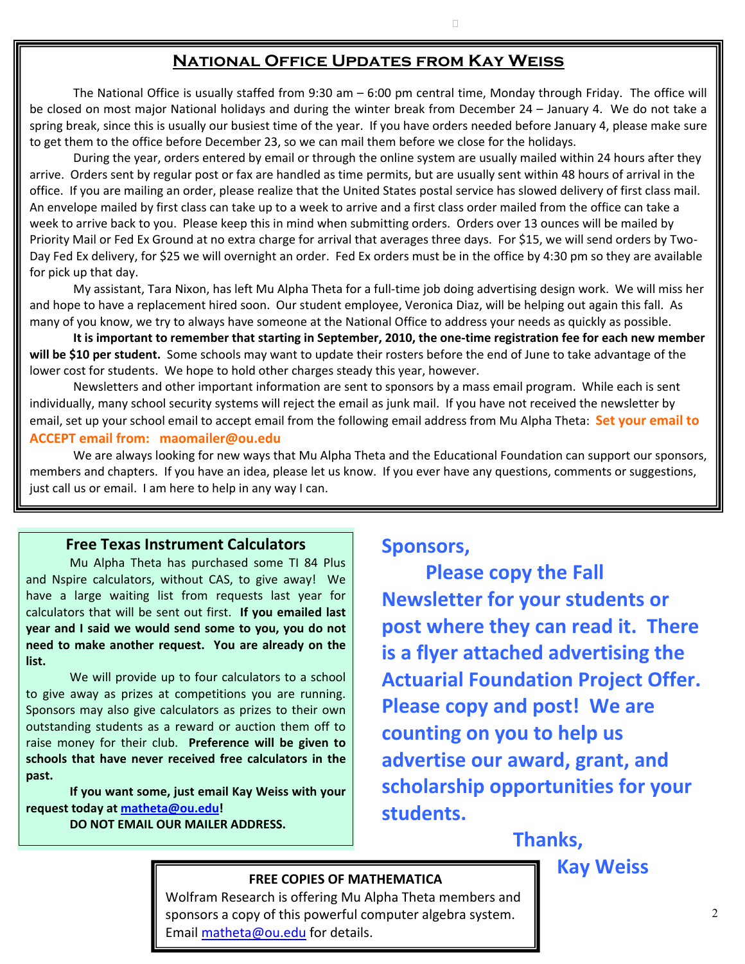#### **National Office Updates from Kay Weiss**

The National Office is usually staffed from 9:30 am – 6:00 pm central time, Monday through Friday. The office will be closed on most major National holidays and during the winter break from December 24 – January 4. We do not take a spring break, since this is usually our busiest time of the year. If you have orders needed before January 4, please make sure to get them to the office before December 23, so we can mail them before we close for the holidays.

During the year, orders entered by email or through the online system are usually mailed within 24 hours after they arrive. Orders sent by regular post or fax are handled as time permits, but are usually sent within 48 hours of arrival in the office. If you are mailing an order, please realize that the United States postal service has slowed delivery of first class mail. An envelope mailed by first class can take up to a week to arrive and a first class order mailed from the office can take a week to arrive back to you. Please keep this in mind when submitting orders. Orders over 13 ounces will be mailed by Priority Mail or Fed Ex Ground at no extra charge for arrival that averages three days. For \$15, we will send orders by Two-Day Fed Ex delivery, for \$25 we will overnight an order. Fed Ex orders must be in the office by 4:30 pm so they are available for pick up that day.

My assistant, Tara Nixon, has left Mu Alpha Theta for a full‐time job doing advertising design work. We will miss her and hope to have a replacement hired soon. Our student employee, Veronica Diaz, will be helping out again this fall. As many of you know, we try to always have someone at the National Office to address your needs as quickly as possible.

**It is important to remember that starting in September, 2010, the one‐time registration fee for each new member will be \$10 per student.** Some schools may want to update their rosters before the end of June to take advantage of the lower cost for students. We hope to hold other charges steady this year, however.

 Newsletters and other important information are sent to sponsors by a mass email program. While each is sent individually, many school security systems will reject the email as junk mail. If you have not received the newsletter by email, set up your school email to accept email from the following email address from Mu Alpha Theta: **Set your email to ACCEPT email from: maomailer@ou.edu**

 We are always looking for new ways that Mu Alpha Theta and the Educational Foundation can support our sponsors, members and chapters. If you have an idea, please let us know. If you ever have any questions, comments or suggestions, just call us or email. I am here to help in any way I can.

#### **Free Texas Instrument Calculators**

Mu Alpha Theta has purchased some TI 84 Plus and Nspire calculators, without CAS, to give away! We have a large waiting list from requests last year for calculators that will be sent out first. **If you emailed last year and I said we would send some to you, you do not need to make another request. You are already on the list.** 

We will provide up to four calculators to a school to give away as prizes at competitions you are running. Sponsors may also give calculators as prizes to their own outstanding students as a reward or auction them off to raise money for their club. **Preference will be given to schools that have never received free calculators in the past.**

**If you want some, just email Kay Weiss with your request today at matheta@ou.edu! DO NOT EMAIL OUR MAILER ADDRESS.**

#### **Sponsors,**

**Please copy the Fall Newsletter for your students or post where they can read it. There is a flyer attached advertising the Actuarial Foundation Project Offer. Please copy and post! We are counting on you to help us advertise our award, grant, and scholarship opportunities for your students.**

## **Thanks,**

# **FREE COPIES OF MATHEMATICA Kay Weiss**

Wolfram Research is offering Mu Alpha Theta members and sponsors a copy of this powerful computer algebra system. Email matheta@ou.edu for details.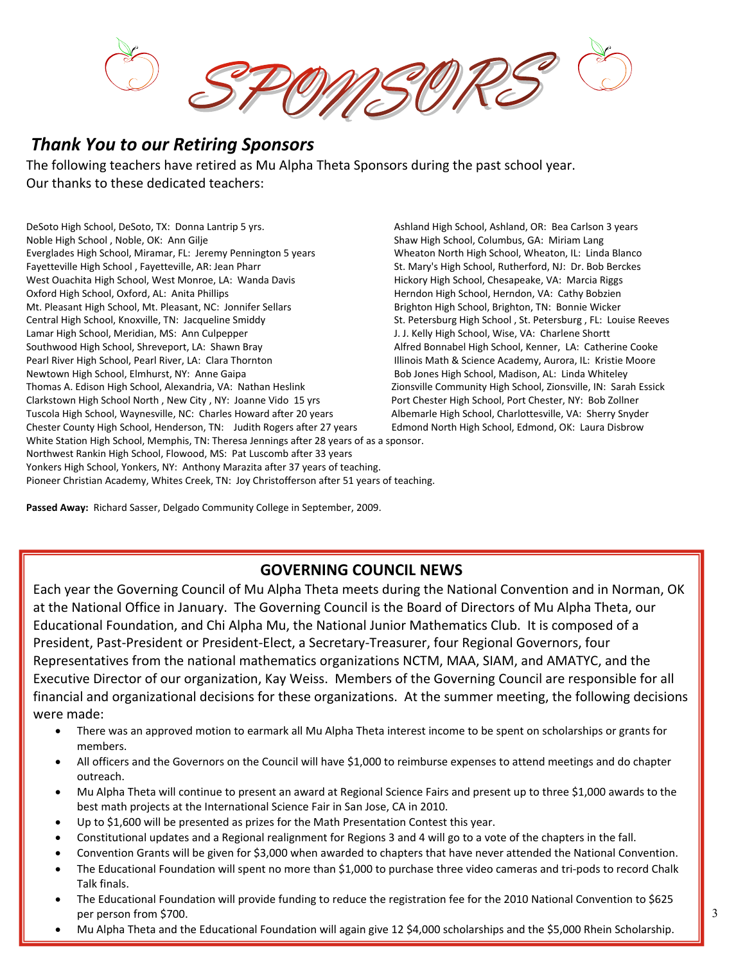### *Thank You to our Retiring Sponsors*

The following teachers have retired as Mu Alpha Theta Sponsors during the past school year. Our thanks to these dedicated teachers:

DeSoto High School, DeSoto, TX: Donna Lantrip 5 yrs. Noble High School , Noble, OK: Ann Gilje Everglades High School, Miramar, FL: Jeremy Pennington 5 years Fayetteville High School , Fayetteville, AR: Jean Pharr West Ouachita High School, West Monroe, LA: Wanda Davis Oxford High School, Oxford, AL: Anita Phillips Mt. Pleasant High School, Mt. Pleasant, NC: Jonnifer Sellars Central High School, Knoxville, TN: Jacqueline Smiddy Lamar High School, Meridian, MS: Ann Culpepper Southwood High School, Shreveport, LA: Shawn Bray Pearl River High School, Pearl River, LA: Clara Thornton Newtown High School, Elmhurst, NY: Anne Gaipa Thomas A. Edison High School, Alexandria, VA: Nathan Heslink Zionsville Community High School, Zionsville, IN: Sarah Essick Clarkstown High School North , New City , NY: Joanne Vido 15 yrs Port Chester High School, Port Chester, NY: Bob Zollner Tuscola High School, Waynesville, NC: Charles Howard after 20 years Albemarle High School, Charlottesville, VA: Sherry Snyder Chester County High School, Henderson, TN: Judith Rogers after 27 years Edmond North High School, Edmond, OK: Laura Disbrow White Station High School, Memphis, TN: Theresa Jennings after 28 years of as a sponsor. Northwest Rankin High School, Flowood, MS: Pat Luscomb after 33 years Yonkers High School, Yonkers, NY: Anthony Marazita after 37 years of teaching. Pioneer Christian Academy, Whites Creek, TN: Joy Christofferson after 51 years of teaching.

Ashland High School, Ashland, OR: Bea Carlson 3 years Shaw High School, Columbus, GA: Miriam Lang Wheaton North High School, Wheaton, IL: Linda Blanco St. Mary's High School, Rutherford, NJ: Dr. Bob Berckes Hickory High School, Chesapeake, VA: Marcia Riggs Herndon High School, Herndon, VA: Cathy Bobzien Brighton High School, Brighton, TN: Bonnie Wicker St. Petersburg High School , St. Petersburg , FL: Louise Reeves J. J. Kelly High School, Wise, VA: Charlene Shortt Alfred Bonnabel High School, Kenner, LA: Catherine Cooke Illinois Math & Science Academy, Aurora, IL: Kristie Moore Bob Jones High School, Madison, AL: Linda Whiteley

**Passed Away:** Richard Sasser, Delgado Community College in September, 2009.

#### **GOVERNING COUNCIL NEWS**

Each year the Governing Council of Mu Alpha Theta meets during the National Convention and in Norman, OK at the National Office in January. The Governing Council is the Board of Directors of Mu Alpha Theta, our Educational Foundation, and Chi Alpha Mu, the National Junior Mathematics Club. It is composed of a President, Past‐President or President‐Elect, a Secretary‐Treasurer, four Regional Governors, four Representatives from the national mathematics organizations NCTM, MAA, SIAM, and AMATYC, and the Executive Director of our organization, Kay Weiss. Members of the Governing Council are responsible for all financial and organizational decisions for these organizations. At the summer meeting, the following decisions were made:

- There was an approved motion to earmark all Mu Alpha Theta interest income to be spent on scholarships or grants for members.
- All officers and the Governors on the Council will have \$1,000 to reimburse expenses to attend meetings and do chapter outreach.
- Mu Alpha Theta will continue to present an award at Regional Science Fairs and present up to three \$1,000 awards to the best math projects at the International Science Fair in San Jose, CA in 2010.
- Up to \$1,600 will be presented as prizes for the Math Presentation Contest this year.
- Constitutional updates and a Regional realignment for Regions 3 and 4 will go to a vote of the chapters in the fall.
- Convention Grants will be given for \$3,000 when awarded to chapters that have never attended the National Convention.
- The Educational Foundation will spent no more than \$1,000 to purchase three video cameras and tri‐pods to record Chalk Talk finals.
- The Educational Foundation will provide funding to reduce the registration fee for the 2010 National Convention to \$625 per person from \$700.
- Mu Alpha Theta and the Educational Foundation will again give 12 \$4,000 scholarships and the \$5,000 Rhein Scholarship.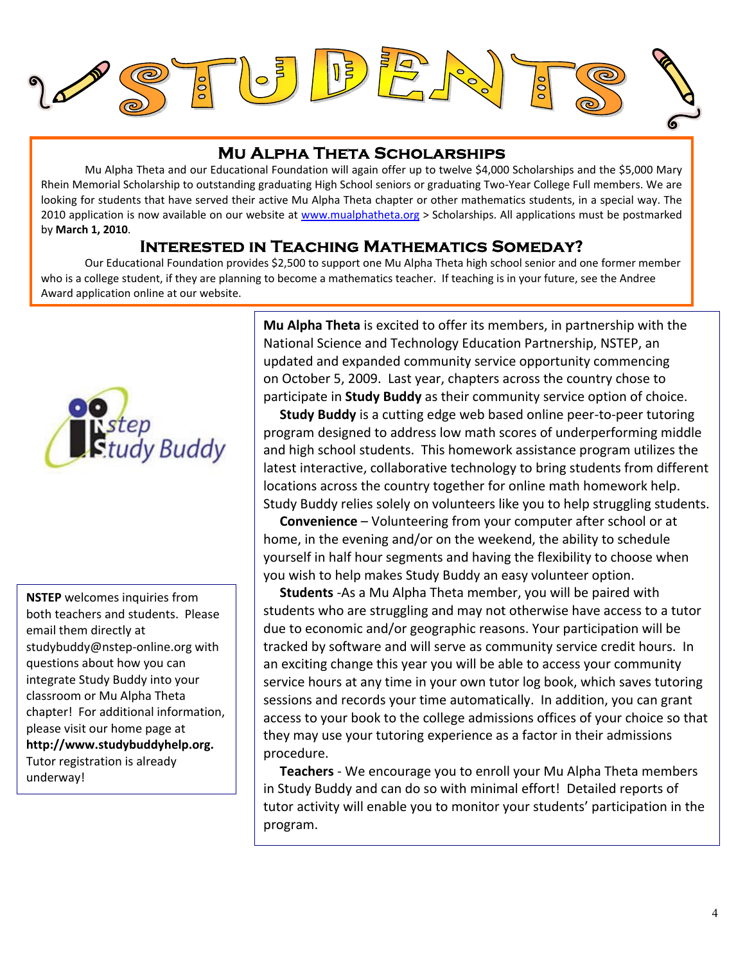

### **Mu Alpha Theta Scholarships**

Mu Alpha Theta and our Educational Foundation will again offer up to twelve \$4,000 Scholarships and the \$5,000 Mary Rhein Memorial Scholarship to outstanding graduating High School seniors or graduating Two‐Year College Full members. We are looking for students that have served their active Mu Alpha Theta chapter or other mathematics students, in a special way. The 2010 application is now available on our website at www.mualphatheta.org > Scholarships. All applications must be postmarked by **March 1, 2010**.

#### **Interested in Teaching Mathematics Someday?**

Our Educational Foundation provides \$2,500 to support one Mu Alpha Theta high school senior and one former member who is a college student, if they are planning to become a mathematics teacher. If teaching is in your future, see the Andree Award application online at our website.



 **NSTEP** welcomes inquiries from email them directly at studybuddy@nstep‐online.org with both teachers and students. Please questions about how you can integrate Study Buddy into your classroom or Mu Alpha Theta chapter! For additional information, please visit our home page at **http://www.studybuddyhelp.org.** Tutor registration is already underway!

**Mu Alpha Theta** is excited to offer its members, in partnership with the National Science and Technology Education Partnership, NSTEP, an updated and expanded community service opportunity commencing on October 5, 2009. Last year, chapters across the country chose to participate in **Study Buddy** as their community service option of choice.

 **Study Buddy** is a cutting edge web based online peer‐to‐peer tutoring program designed to address low math scores of underperforming middle and high school students. This homework assistance program utilizes the latest interactive, collaborative technology to bring students from different locations across the country together for online math homework help. Study Buddy relies solely on volunteers like you to help struggling students.

 **Convenience** – Volunteering from your computer after school or at home, in the evening and/or on the weekend, the ability to schedule yourself in half hour segments and having the flexibility to choose when you wish to help makes Study Buddy an easy volunteer option.

 **Students** ‐As a Mu Alpha Theta member, you will be paired with students who are struggling and may not otherwise have access to a tutor due to economic and/or geographic reasons. Your participation will be tracked by software and will serve as community service credit hours. In an exciting change this year you will be able to access your community service hours at any time in your own tutor log book, which saves tutoring sessions and records your time automatically. In addition, you can grant access to your book to the college admissions offices of your choice so that they may use your tutoring experience as a factor in their admissions procedure.

 **Teachers** ‐ We encourage you to enroll your Mu Alpha Theta members in Study Buddy and can do so with minimal effort! Detailed reports of tutor activity will enable you to monitor your students' participation in the program.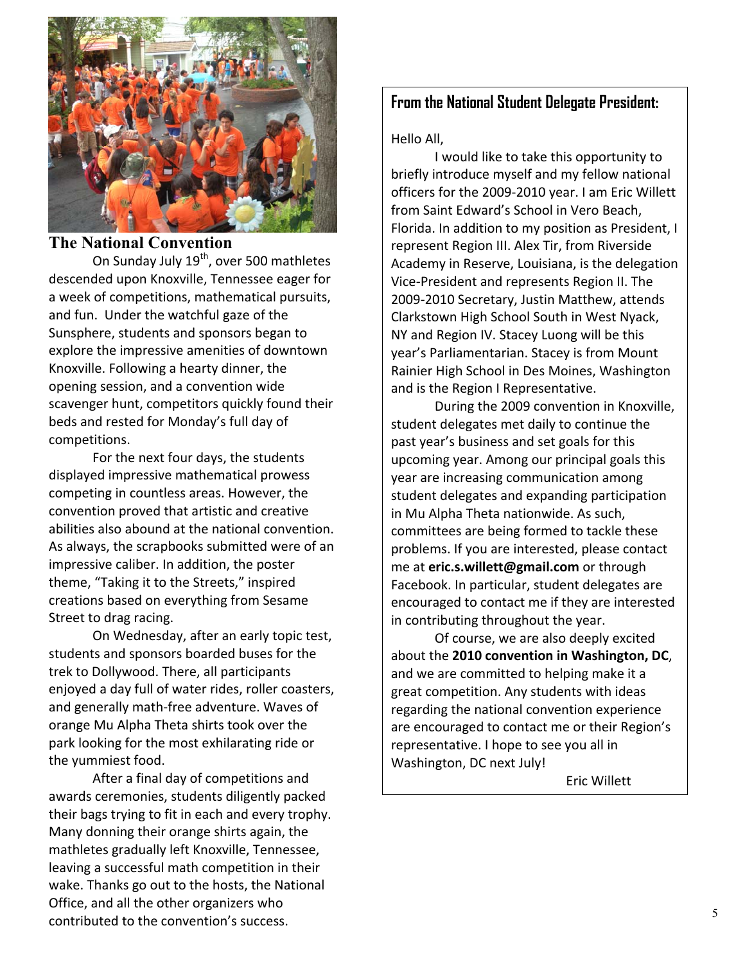

#### **The National Convention**

On Sunday July 19<sup>th</sup>, over 500 mathletes descended upon Knoxville, Tennessee eager for a week of competitions, mathematical pursuits, and fun. Under the watchful gaze of the Sunsphere, students and sponsors began to explore the impressive amenities of downtown Knoxville. Following a hearty dinner, the opening session, and a convention wide scavenger hunt, competitors quickly found their beds and rested for Monday's full day of competitions.

 For the next four days, the students displayed impressive mathematical prowess competing in countless areas. However, the convention proved that artistic and creative abilities also abound at the national convention. As always, the scrapbooks submitted were of an impressive caliber. In addition, the poster theme, "Taking it to the Streets," inspired creations based on everything from Sesame Street to drag racing.

 On Wednesday, after an early topic test, students and sponsors boarded buses for the trek to Dollywood. There, all participants enjoyed a day full of water rides, roller coasters, and generally math‐free adventure. Waves of orange Mu Alpha Theta shirts took over the park looking for the most exhilarating ride or the yummiest food.

 After a final day of competitions and awards ceremonies, students diligently packed their bags trying to fit in each and every trophy. Many donning their orange shirts again, the mathletes gradually left Knoxville, Tennessee, leaving a successful math competition in their wake. Thanks go out to the hosts, the National Office, and all the other organizers who contributed to the convention's success.

#### **From the National Student Delegate President:**

Hello All,

 I would like to take this opportunity to briefly introduce myself and my fellow national officers for the 2009‐2010 year. I am Eric Willett from Saint Edward's School in Vero Beach, Florida. In addition to my position as President, I represent Region III. Alex Tir, from Riverside Academy in Reserve, Louisiana, is the delegation Vice‐President and represents Region II. The 2009‐2010 Secretary, Justin Matthew, attends Clarkstown High School South in West Nyack, NY and Region IV. Stacey Luong will be this year's Parliamentarian. Stacey is from Mount Rainier High School in Des Moines, Washington and is the Region I Representative.

 During the 2009 convention in Knoxville, student delegates met daily to continue the past year's business and set goals for this upcoming year. Among our principal goals this year are increasing communication among student delegates and expanding participation in Mu Alpha Theta nationwide. As such, committees are being formed to tackle these problems. If you are interested, please contact me at **eric.s.willett@gmail.com** or through Facebook. In particular, student delegates are encouraged to contact me if they are interested in contributing throughout the year.

 Of course, we are also deeply excited about the **2010 convention in Washington, DC**, and we are committed to helping make it a great competition. Any students with ideas regarding the national convention experience are encouraged to contact me or their Region's representative. I hope to see you all in Washington, DC next July!

Eric Willett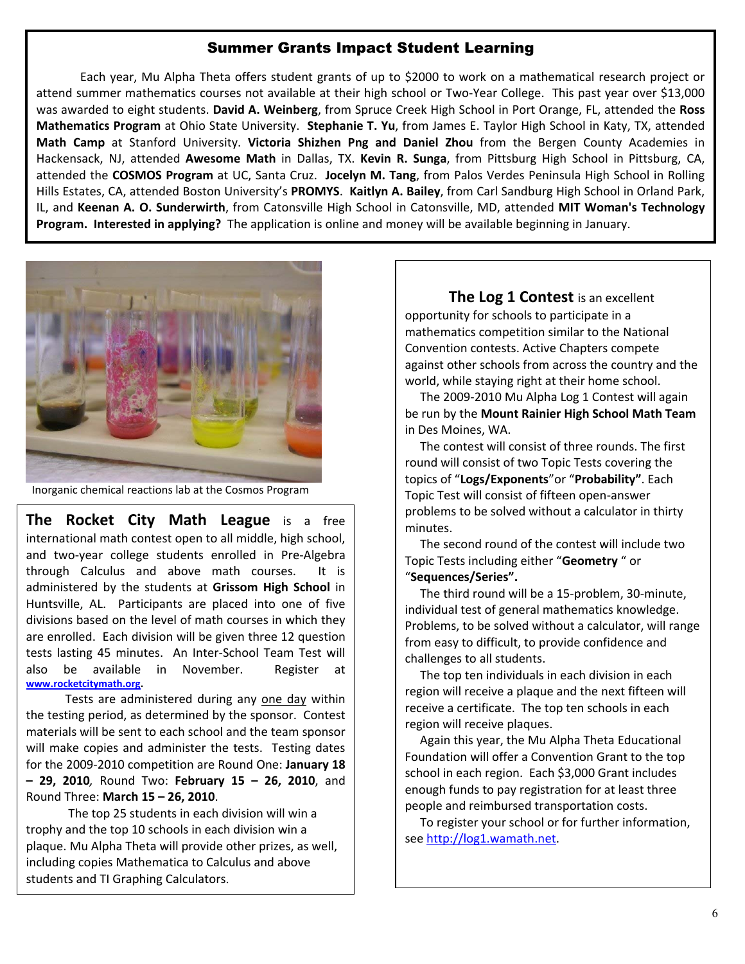#### Summer Grants Impact Student Learning

Each year, Mu Alpha Theta offers student grants of up to \$2000 to work on a mathematical research project or attend summer mathematics courses not available at their high school or Two-Year College. This past year over \$13,000 was awarded to eight students. **David A. Weinberg**, from Spruce Creek High School in Port Orange, FL, attended the **Ross Mathematics Program** at Ohio State University. **Stephanie T. Yu**, from James E. Taylor High School in Katy, TX, attended **Math Camp** at Stanford University. **Victoria Shizhen Png and Daniel Zhou** from the Bergen County Academies in Hackensack, NJ, attended **Awesome Math** in Dallas, TX. **Kevin R. Sunga**, from Pittsburg High School in Pittsburg, CA, attended the **COSMOS Program** at UC, Santa Cruz. **Jocelyn M. Tang**, from Palos Verdes Peninsula High School in Rolling Hills Estates, CA, attended Boston University's **PROMYS**. **Kaitlyn A. Bailey**, from Carl Sandburg High School in Orland Park, IL, and **Keenan A. O. Sunderwirth**, from Catonsville High School in Catonsville, MD, attended **MIT Woman's Technology Program. Interested in applying?** The application is online and money will be available beginning in January.



Inorganic chemical reactions lab at the Cosmos Program

**The Rocket City Math League** is a free international math contest open to all middle, high school, and two‐year college students enrolled in Pre‐Algebra through Calculus and above math courses. It is administered by the students at **Grissom High School** in Huntsville, AL. Participants are placed into one of five divisions based on the level of math courses in which they are enrolled. Each division will be given three 12 question tests lasting 45 minutes. An Inter‐School Team Test will also be available in November. Register at **www.rocketcitymath.org.**

 Tests are administered during any one day within the testing period, as determined by the sponsor. Contest materials will be sent to each school and the team sponsor will make copies and administer the tests. Testing dates for the 2009‐2010 competition are Round One: **January 18 – 29, 2010***,* Round Two: **February 15 – 26, 2010**, and Round Three: **March 15 – 26, 2010**.

 The top 25 students in each division will win a trophy and the top 10 schools in each division win a plaque. Mu Alpha Theta will provide other prizes, as well, including copies Mathematica to Calculus and above students and TI Graphing Calculators.

j

#### **The Log 1 Contest** is an excellent

opportunity for schools to participate in a mathematics competition similar to the National Convention contests. Active Chapters compete against other schools from across the country and the world, while staying right at their home school.

 The 2009‐2010 Mu Alpha Log 1 Contest will again be run by the **Mount Rainier High School Math Team** in Des Moines, WA.

 The contest will consist of three rounds. The first round will consist of two Topic Tests covering the topics of "**Logs/Exponents**"or "**Probability"**. Each Topic Test will consist of fifteen open‐answer problems to be solved without a calculator in thirty minutes.

 The second round of the contest will include two Topic Tests including either "**Geometry** " or "**Sequences/Series".**

 The third round will be a 15‐problem, 30‐minute, individual test of general mathematics knowledge. Problems, to be solved without a calculator, will range from easy to difficult, to provide confidence and challenges to all students.

 The top ten individuals in each division in each region will receive a plaque and the next fifteen will receive a certificate. The top ten schools in each region will receive plaques.

 Again this year, the Mu Alpha Theta Educational Foundation will offer a Convention Grant to the top school in each region. Each \$3,000 Grant includes enough funds to pay registration for at least three people and reimbursed transportation costs.

 To register your school or for further information, see http://log1.wamath.net.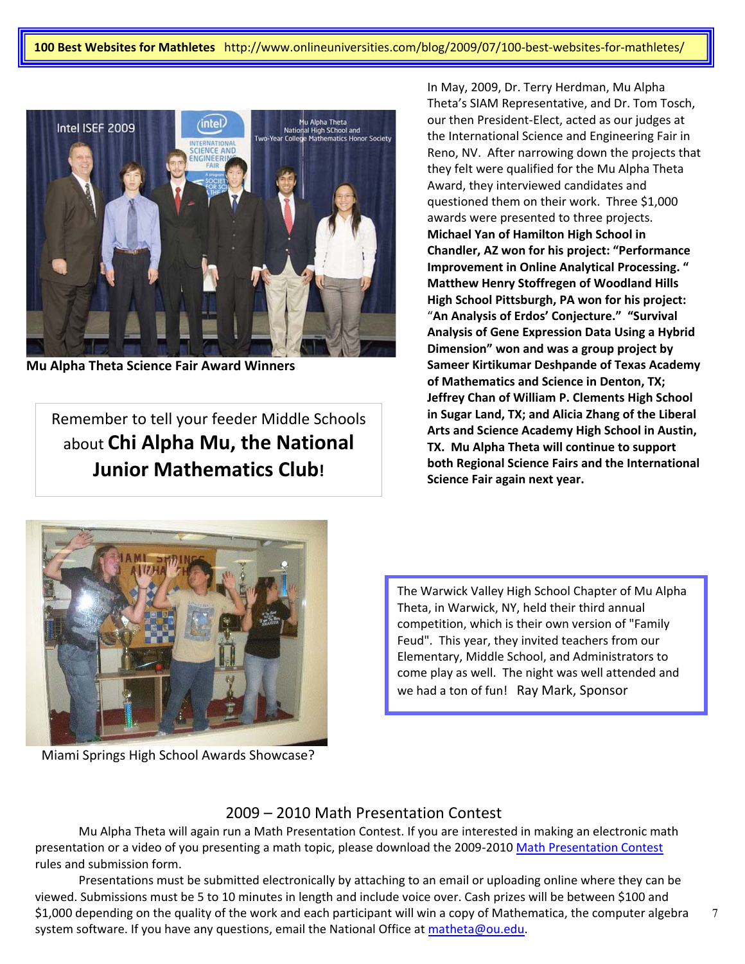**100 Best Websites for Mathletes** http://www.onlineuniversities.com/blog/2009/07/100‐best‐websites‐for‐mathletes/



**Mu Alpha Theta Science Fair Award Winners** 

Remember to tell your feeder Middle Schools about **Chi Alpha Mu, the National Junior Mathematics Club!**

In May, 2009, Dr. Terry Herdman, Mu Alpha Theta's SIAM Representative, and Dr. Tom Tosch, our then President‐Elect, acted as our judges at the International Science and Engineering Fair in Reno, NV. After narrowing down the projects that they felt were qualified for the Mu Alpha Theta Award, they interviewed candidates and questioned them on their work. Three \$1,000 awards were presented to three projects. **Michael Yan of Hamilton High School in Chandler, AZ won for his project: "Performance Improvement in Online Analytical Processing. " Matthew Henry Stoffregen of Woodland Hills High School Pittsburgh, PA won for his project:**  "**An Analysis of Erdos' Conjecture." "Survival Analysis of Gene Expression Data Using a Hybrid Dimension" won and was a group project by Sameer Kirtikumar Deshpande of Texas Academy of Mathematics and Science in Denton, TX; Jeffrey Chan of William P. Clements High School in Sugar Land, TX; and Alicia Zhang of the Liberal Arts and Science Academy High School in Austin, TX. Mu Alpha Theta will continue to support both Regional Science Fairs and the International Science Fair again next year.**



Miami Springs High School Awards Showcase?

The Warwick Valley High School Chapter of Mu Alpha Theta, in Warwick, NY, held their third annual competition, which is their own version of "Family Feud". This year, they invited teachers from our Elementary, Middle School, and Administrators to come play as well. The night was well attended and we had a ton of fun! Ray Mark, Sponsor

#### 2009 – 2010 Math Presentation Contest

Mu Alpha Theta will again run a Math Presentation Contest. If you are interested in making an electronic math presentation or a video of you presenting a math topic, please download the 2009-2010 Math Presentation Contest rules and submission form.

Presentations must be submitted electronically by attaching to an email or uploading online where they can be viewed. Submissions must be 5 to 10 minutes in length and include voice over. Cash prizes will be between \$100 and \$1,000 depending on the quality of the work and each participant will win a copy of Mathematica, the computer algebra system software. If you have any questions, email the National Office at matheta@ou.edu.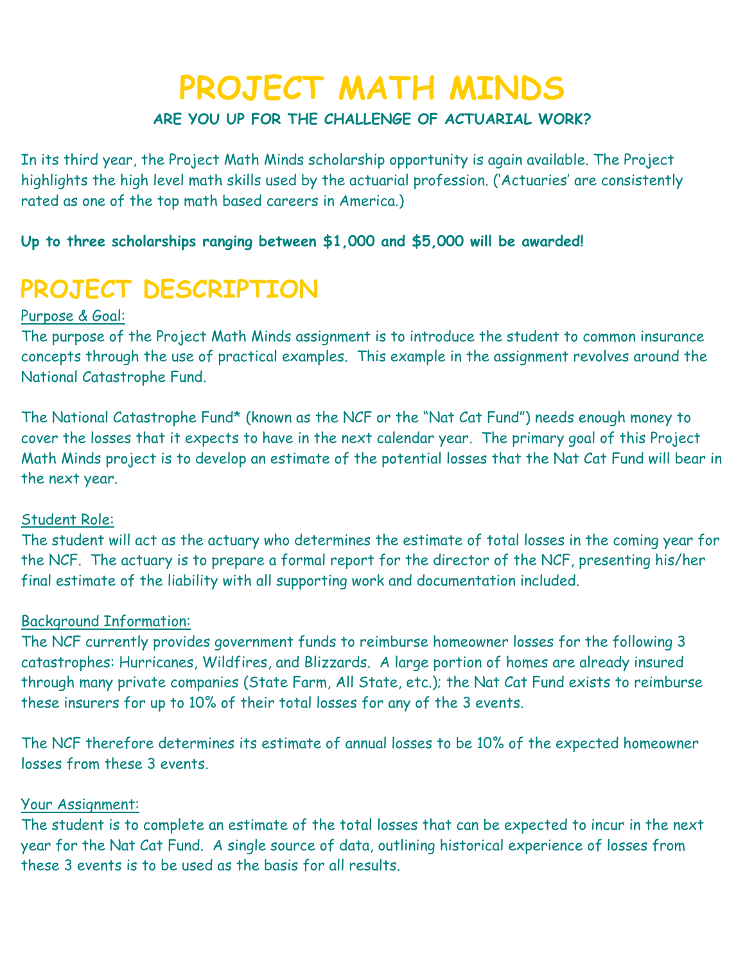# **PROJECT MATH MINDS**

### **ARE YOU UP FOR THE CHALLENGE OF ACTUARIAL WORK?**

In its third year, the Project Math Minds scholarship opportunity is again available. The Project highlights the high level math skills used by the actuarial profession. ('Actuaries' are consistently rated as one of the top math based careers in America.)

**Up to three scholarships ranging between \$1,000 and \$5,000 will be awarded!**

# **PROJECT DESCRIPTION**

### Purpose & Goal:

The purpose of the Project Math Minds assignment is to introduce the student to common insurance concepts through the use of practical examples. This example in the assignment revolves around the National Catastrophe Fund.

The National Catastrophe Fund\* (known as the NCF or the "Nat Cat Fund") needs enough money to cover the losses that it expects to have in the next calendar year. The primary goal of this Project Math Minds project is to develop an estimate of the potential losses that the Nat Cat Fund will bear in the next year.

### Student Role:

The student will act as the actuary who determines the estimate of total losses in the coming year for the NCF. The actuary is to prepare a formal report for the director of the NCF, presenting his/her final estimate of the liability with all supporting work and documentation included.

### Background Information:

The NCF currently provides government funds to reimburse homeowner losses for the following 3 catastrophes: Hurricanes, Wildfires, and Blizzards. A large portion of homes are already insured through many private companies (State Farm, All State, etc.); the Nat Cat Fund exists to reimburse these insurers for up to 10% of their total losses for any of the 3 events.

The NCF therefore determines its estimate of annual losses to be 10% of the expected homeowner losses from these 3 events.

#### Your Assignment:

The student is to complete an estimate of the total losses that can be expected to incur in the next year for the Nat Cat Fund. A single source of data, outlining historical experience of losses from these 3 events is to be used as the basis for all results.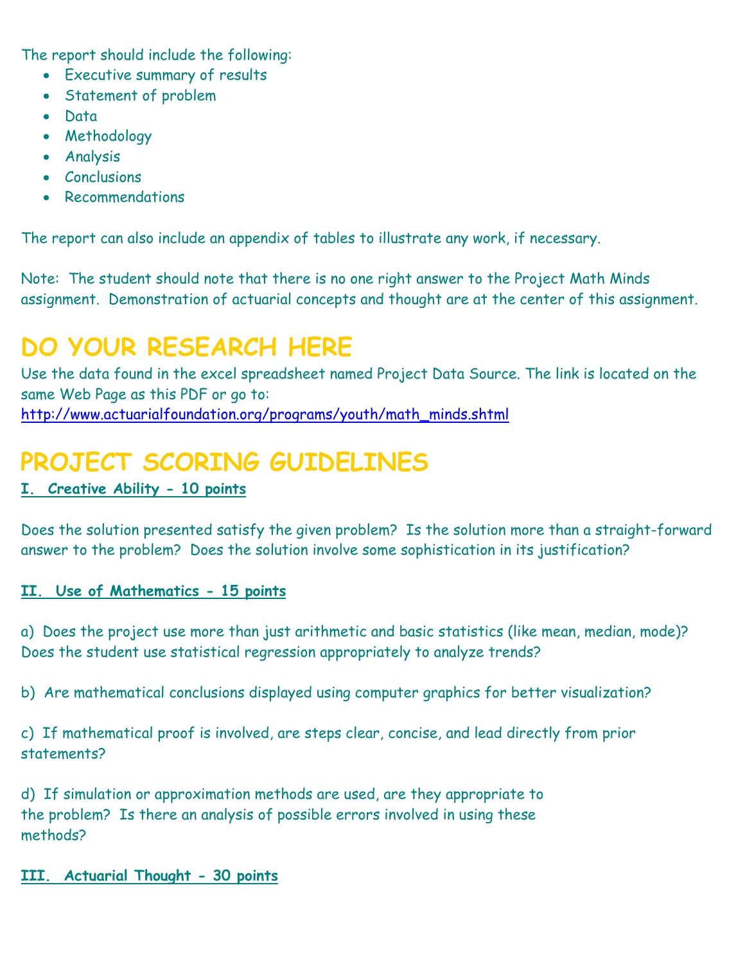The report should include the following:

- Executive summary of results
- Statement of problem
- Data
- Methodology
- Analysis
- Conclusions
- Recommendations

The report can also include an appendix of tables to illustrate any work, if necessary.

Note: The student should note that there is no one right answer to the Project Math Minds assignment. Demonstration of actuarial concepts and thought are at the center of this assignment.

# **DO YOUR RESEARCH HERE**

Use the data found in the excel spreadsheet named Project Data Source. The link is located on the same Web Page as this PDF or go to: [http://www.actuarialfoundation.org/programs/youth/math\\_minds.shtml](http://www.actuarialfoundation.org/programs/youth/math_minds.shtml)

# **PROJECT SCORING GUIDELINES**

## **I. Creative Ability - 10 points**

Does the solution presented satisfy the given problem? Is the solution more than a straight-forward answer to the problem? Does the solution involve some sophistication in its justification?

### **II. Use of Mathematics - 15 points**

a) Does the project use more than just arithmetic and basic statistics (like mean, median, mode)? Does the student use statistical regression appropriately to analyze trends?

b) Are mathematical conclusions displayed using computer graphics for better visualization?

c) If mathematical proof is involved, are steps clear, concise, and lead directly from prior statements?

d) If simulation or approximation methods are used, are they appropriate to the problem? Is there an analysis of possible errors involved in using these methods?

### **III. Actuarial Thought - 30 points**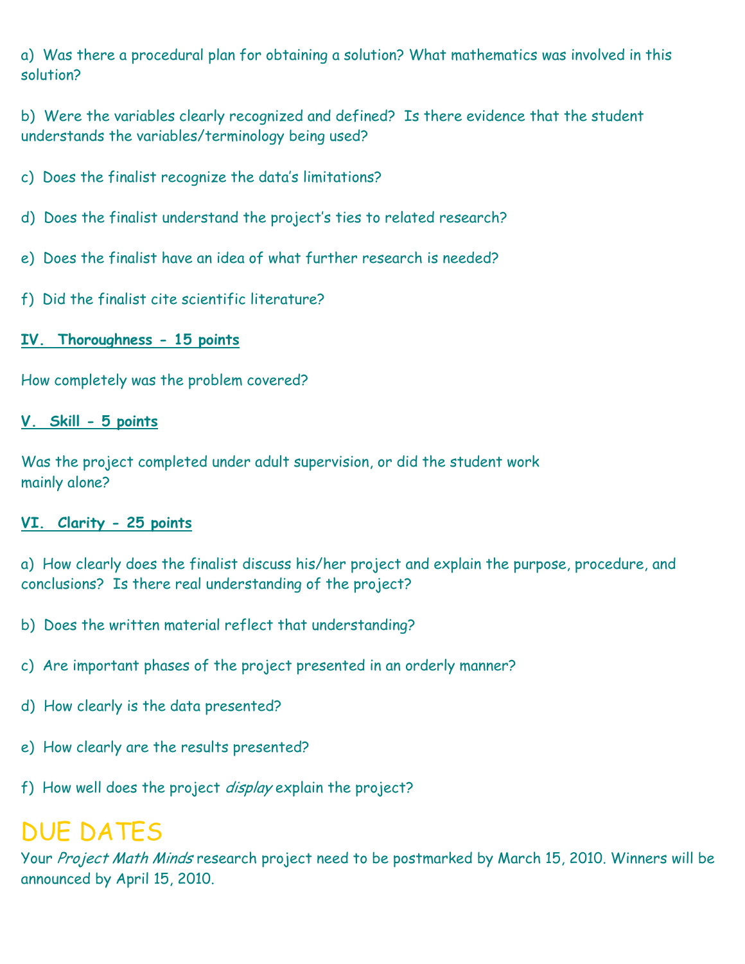a) Was there a procedural plan for obtaining a solution? What mathematics was involved in this solution?

b) Were the variables clearly recognized and defined? Is there evidence that the student understands the variables/terminology being used?

- c) Does the finalist recognize the data's limitations?
- d) Does the finalist understand the project's ties to related research?
- e) Does the finalist have an idea of what further research is needed?
- f) Did the finalist cite scientific literature?

### **IV. Thoroughness - 15 points**

How completely was the problem covered?

### **V. Skill - 5 points**

Was the project completed under adult supervision, or did the student work mainly alone?

### **VI. Clarity - 25 points**

a) How clearly does the finalist discuss his/her project and explain the purpose, procedure, and conclusions? Is there real understanding of the project?

- b) Does the written material reflect that understanding?
- c) Are important phases of the project presented in an orderly manner?
- d) How clearly is the data presented?
- e) How clearly are the results presented?
- f) How well does the project display explain the project?

# DUE DATES

Your Project Math Minds research project need to be postmarked by March 15, 2010. Winners will be announced by April 15, 2010.